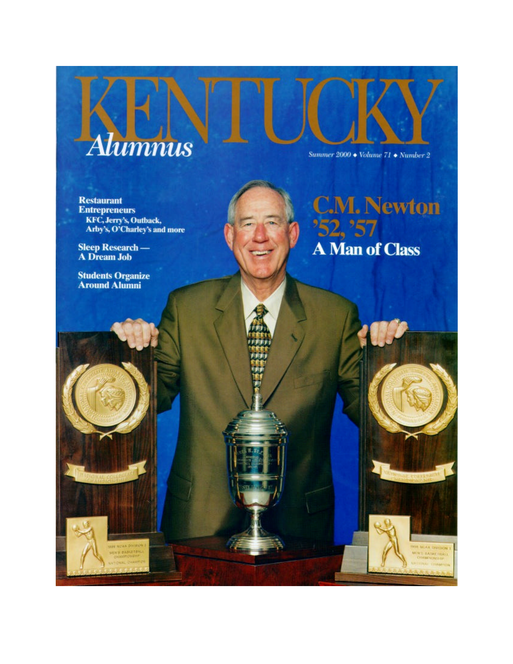## Alumnus

Summer 2000 • Volume 71 • Number 2

**Restaurant Entrepreneurs** KFC, Jerry's, Outback,<br>Arby's, O'Charley's and more

Sleep Research —<br>A Dream Job

**Students Organize<br>Around Alumni** 

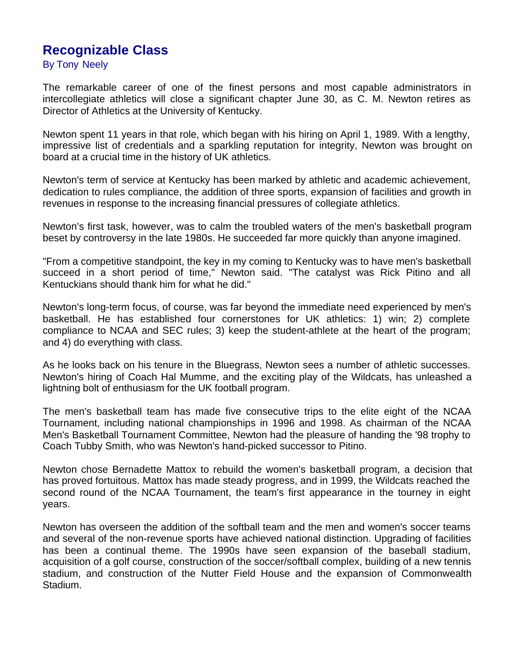## **Recognizable Class**

By Tony Neely

The remarkable career of one of the finest persons and most capable administrators in intercollegiate athletics will close a significant chapter June 30, as C. M. Newton retires as Director of Athletics at the University of Kentucky.

Newton spent 11 years in that role, which began with his hiring on April 1, 1989. With a lengthy, impressive list of credentials and a sparkling reputation for integrity, Newton was brought on board at a crucial time in the history of UK athletics.

Newton's term of service at Kentucky has been marked by athletic and academic achievement, dedication to rules compliance, the addition of three sports, expansion of facilities and growth in revenues in response to the increasing financial pressures of collegiate athletics.

Newton's first task, however, was to calm the troubled waters of the men's basketball program beset by controversy in the late 1980s. He succeeded far more quickly than anyone imagined.

"From a competitive standpoint, the key in my coming to Kentucky was to have men's basketball succeed in a short period of time," Newton said. "The catalyst was Rick Pitino and all Kentuckians should thank him for what he did."

Newton's long-term focus, of course, was far beyond the immediate need experienced by men's basketball. He has established four cornerstones for UK athletics: 1) win; 2) complete compliance to NCAA and SEC rules; 3) keep the student-athlete at the heart of the program; and 4) do everything with class.

As he looks back on his tenure in the Bluegrass, Newton sees a number of athletic successes. Newton's hiring of Coach Hal Mumme, and the exciting play of the Wildcats, has unleashed a lightning bolt of enthusiasm for the UK football program.

The men's basketball team has made five consecutive trips to the elite eight of the NCAA Tournament, including national championships in 1996 and 1998. As chairman of the NCAA Men's Basketball Tournament Committee, Newton had the pleasure of handing the '98 trophy to Coach Tubby Smith, who was Newton's hand-picked successor to Pitino.

Newton chose Bernadette Mattox to rebuild the women's basketball program, a decision that has proved fortuitous. Mattox has made steady progress, and in 1999, the Wildcats reached the second round of the NCAA Tournament, the team's first appearance in the tourney in eight years.

Newton has overseen the addition of the softball team and the men and women's soccer teams and several of the non-revenue sports have achieved national distinction. Upgrading of facilities has been a continual theme. The 1990s have seen expansion of the baseball stadium, acquisition of a golf course, construction of the soccer/softball complex, building of a new tennis stadium, and construction of the Nutter Field House and the expansion of Commonwealth Stadium.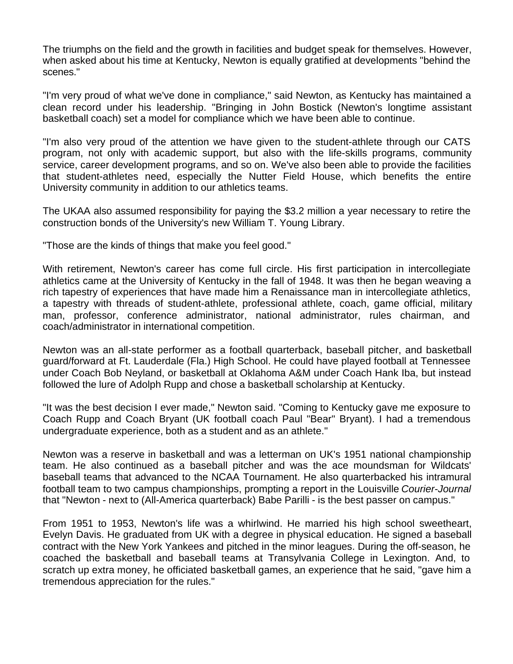The triumphs on the field and the growth in facilities and budget speak for themselves. However, when asked about his time at Kentucky, Newton is equally gratified at developments "behind the scenes."

"I'm very proud of what we've done in compliance," said Newton, as Kentucky has maintained a clean record under his leadership. "Bringing in John Bostick (Newton's longtime assistant basketball coach) set a model for compliance which we have been able to continue.

"I'm also very proud of the attention we have given to the student-athlete through our CATS program, not only with academic support, but also with the life-skills programs, community service, career development programs, and so on. We've also been able to provide the facilities that student-athletes need, especially the Nutter Field House, which benefits the entire University community in addition to our athletics teams.

The UKAA also assumed responsibility for paying the \$3.2 million a year necessary to retire the construction bonds of the University's new William T. Young Library.

"Those are the kinds of things that make you feel good."

With retirement, Newton's career has come full circle. His first participation in intercollegiate athletics came at the University of Kentucky in the fall of 1948. It was then he began weaving a rich tapestry of experiences that have made him a Renaissance man in intercollegiate athletics, a tapestry with threads of student-athlete, professional athlete, coach, game official, military man, professor, conference administrator, national administrator, rules chairman, and coach/administrator in international competition.

Newton was an all-state performer as a football quarterback, baseball pitcher, and basketball guard/forward at Ft. Lauderdale (Fla.) High School. He could have played football at Tennessee under Coach Bob Neyland, or basketball at Oklahoma A&M under Coach Hank Iba, but instead followed the lure of Adolph Rupp and chose a basketball scholarship at Kentucky.

"It was the best decision I ever made," Newton said. "Coming to Kentucky gave me exposure to Coach Rupp and Coach Bryant (UK football coach Paul "Bear" Bryant). I had a tremendous undergraduate experience, both as a student and as an athlete."

Newton was a reserve in basketball and was a letterman on UK's 1951 national championship team. He also continued as a baseball pitcher and was the ace moundsman for Wildcats' baseball teams that advanced to the NCAA Tournament. He also quarterbacked his intramural football team to two campus championships, prompting a report in the Louisville *Courier-Journal* that "Newton - next to (All-America quarterback) Babe Parilli - is the best passer on campus."

From 1951 to 1953, Newton's life was a whirlwind. He married his high school sweetheart, Evelyn Davis. He graduated from UK with a degree in physical education. He signed a baseball contract with the New York Yankees and pitched in the minor leagues. During the off-season, he coached the basketball and baseball teams at Transylvania College in Lexington. And, to scratch up extra money, he officiated basketball games, an experience that he said, "gave him a tremendous appreciation for the rules."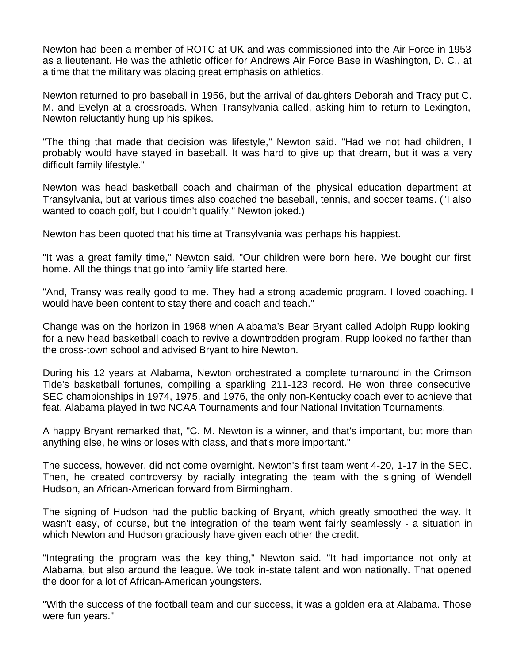Newton had been a member of ROTC at UK and was commissioned into the Air Force in 1953 as a lieutenant. He was the athletic officer for Andrews Air Force Base in Washington, D. C., at a time that the military was placing great emphasis on athletics.

Newton returned to pro baseball in 1956, but the arrival of daughters Deborah and Tracy put C. M. and Evelyn at a crossroads. When Transylvania called, asking him to return to Lexington, Newton reluctantly hung up his spikes.

"The thing that made that decision was lifestyle," Newton said. "Had we not had children, I probably would have stayed in baseball. It was hard to give up that dream, but it was a very difficult family lifestyle."

Newton was head basketball coach and chairman of the physical education department at Transylvania, but at various times also coached the baseball, tennis, and soccer teams. ("I also wanted to coach golf, but I couldn't qualify," Newton joked.)

Newton has been quoted that his time at Transylvania was perhaps his happiest.

"It was a great family time," Newton said. "Our children were born here. We bought our first home. All the things that go into family life started here.

"And, Transy was really good to me. They had a strong academic program. I loved coaching. I would have been content to stay there and coach and teach."

Change was on the horizon in 1968 when Alabama's Bear Bryant called Adolph Rupp looking for a new head basketball coach to revive a downtrodden program. Rupp looked no farther than the cross-town school and advised Bryant to hire Newton.

During his 12 years at Alabama, Newton orchestrated a complete turnaround in the Crimson Tide's basketball fortunes, compiling a sparkling 211-123 record. He won three consecutive SEC championships in 1974, 1975, and 1976, the only non-Kentucky coach ever to achieve that feat. Alabama played in two NCAA Tournaments and four National Invitation Tournaments.

A happy Bryant remarked that, "C. M. Newton is a winner, and that's important, but more than anything else, he wins or loses with class, and that's more important."

The success, however, did not come overnight. Newton's first team went 4-20, 1-17 in the SEC. Then, he created controversy by racially integrating the team with the signing of Wendell Hudson, an African-American forward from Birmingham.

The signing of Hudson had the public backing of Bryant, which greatly smoothed the way. It wasn't easy, of course, but the integration of the team went fairly seamlessly - a situation in which Newton and Hudson graciously have given each other the credit.

"Integrating the program was the key thing," Newton said. "It had importance not only at Alabama, but also around the league. We took in-state talent and won nationally. That opened the door for a lot of African-American youngsters.

"With the success of the football team and our success, it was a golden era at Alabama. Those were fun years."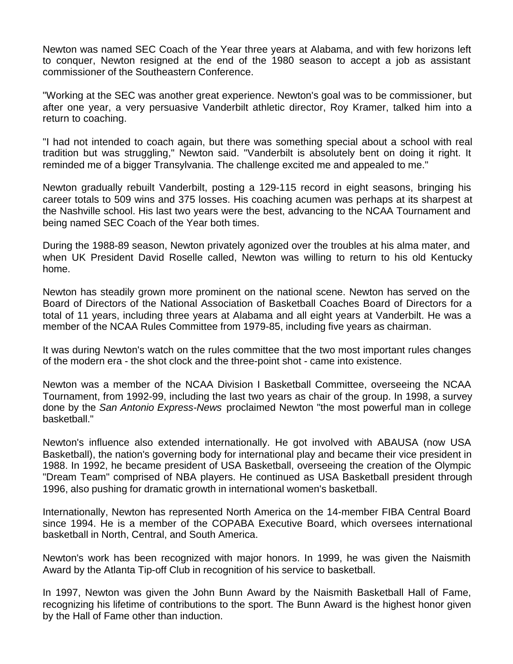Newton was named SEC Coach of the Year three years at Alabama, and with few horizons left to conquer, Newton resigned at the end of the 1980 season to accept a job as assistant commissioner of the Southeastern Conference.

"Working at the SEC was another great experience. Newton's goal was to be commissioner, but after one year, a very persuasive Vanderbilt athletic director, Roy Kramer, talked him into a return to coaching.

"I had not intended to coach again, but there was something special about a school with real tradition but was struggling," Newton said. "Vanderbilt is absolutely bent on doing it right. It reminded me of a bigger Transylvania. The challenge excited me and appealed to me."

Newton gradually rebuilt Vanderbilt, posting a 129-115 record in eight seasons, bringing his career totals to 509 wins and 375 losses. His coaching acumen was perhaps at its sharpest at the Nashville school. His last two years were the best, advancing to the NCAA Tournament and being named SEC Coach of the Year both times.

During the 1988-89 season, Newton privately agonized over the troubles at his alma mater, and when UK President David Roselle called, Newton was willing to return to his old Kentucky home.

Newton has steadily grown more prominent on the national scene. Newton has served on the Board of Directors of the National Association of Basketball Coaches Board of Directors for a total of 11 years, including three years at Alabama and all eight years at Vanderbilt. He was a member of the NCAA Rules Committee from 1979-85, including five years as chairman.

It was during Newton's watch on the rules committee that the two most important rules changes of the modern era - the shot clock and the three-point shot - came into existence.

Newton was a member of the NCAA Division I Basketball Committee, overseeing the NCAA Tournament, from 1992-99, including the last two years as chair of the group. In 1998, a survey done by the *San Antonio Express-News* proclaimed Newton "the most powerful man in college basketball."

Newton's influence also extended internationally. He got involved with ABAUSA (now USA Basketball), the nation's governing body for international play and became their vice president in 1988. In 1992, he became president of USA Basketball, overseeing the creation of the Olympic "Dream Team" comprised of NBA players. He continued as USA Basketball president through 1996, also pushing for dramatic growth in international women's basketball.

Internationally, Newton has represented North America on the 14-member FIBA Central Board since 1994. He is a member of the COPABA Executive Board, which oversees international basketball in North, Central, and South America.

Newton's work has been recognized with major honors. In 1999, he was given the Naismith Award by the Atlanta Tip-off Club in recognition of his service to basketball.

In 1997, Newton was given the John Bunn Award by the Naismith Basketball Hall of Fame, recognizing his lifetime of contributions to the sport. The Bunn Award is the highest honor given by the Hall of Fame other than induction.